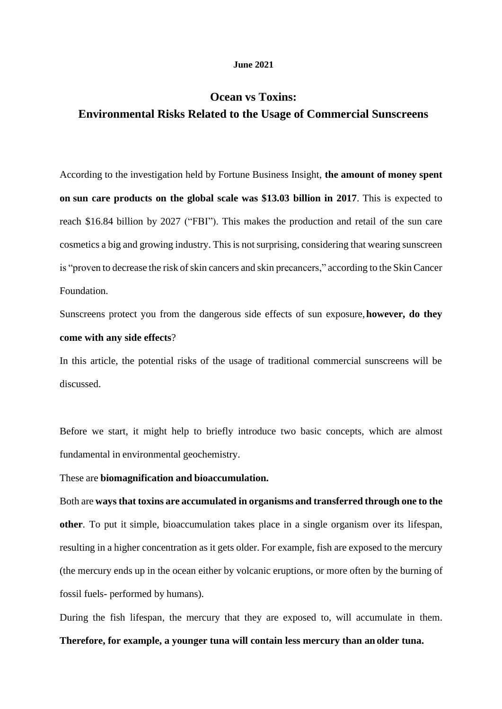#### **June 2021**

## **Ocean vs Toxins: Environmental Risks Related to the Usage of Commercial Sunscreens**

According to the investigation held by Fortune Business Insight, **the amount of money spent on sun care products on the global scale was \$13.03 billion in 2017**. This is expected to reach \$16.84 billion by 2027 ("FBI"). This makes the production and retail of the sun care cosmetics a big and growing industry. This is not surprising, considering that wearing sunscreen is "proven to decrease the risk of skin cancers and skin precancers," according to the Skin Cancer Foundation.

Sunscreens protect you from the dangerous side effects of sun exposure,**however, do they come with any side effects**?

In this article, the potential risks of the usage of traditional commercial sunscreens will be discussed.

Before we start, it might help to briefly introduce two basic concepts, which are almost fundamental in environmental geochemistry.

These are **biomagnification and bioaccumulation.** 

Both are **waysthat toxins are accumulated in organisms and transferred through one to the other**. To put it simple, bioaccumulation takes place in a single organism over its lifespan, resulting in a higher concentration as it gets older. For example, fish are exposed to the mercury (the mercury ends up in the ocean either by volcanic eruptions, or more often by the burning of fossil fuels- performed by humans).

During the fish lifespan, the mercury that they are exposed to, will accumulate in them.

#### **Therefore, for example, a younger tuna will contain less mercury than an older tuna.**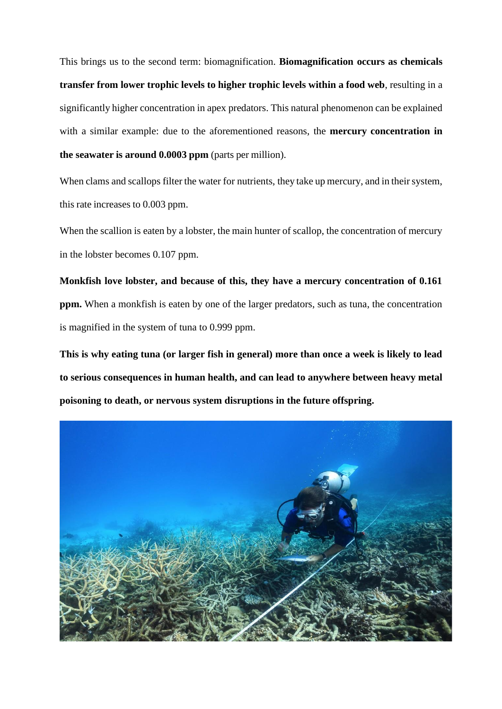This brings us to the second term: biomagnification. **Biomagnification occurs as chemicals transfer from lower trophic levels to higher trophic levels within a food web**, resulting in a significantly higher concentration in apex predators. This natural phenomenon can be explained with a similar example: due to the aforementioned reasons, the **mercury concentration in the seawater is around 0.0003 ppm** (parts per million).

When clams and scallops filter the water for nutrients, they take up mercury, and in their system, this rate increases to 0.003 ppm.

When the scallion is eaten by a lobster, the main hunter of scallop, the concentration of mercury in the lobster becomes 0.107 ppm.

**Monkfish love lobster, and because of this, they have a mercury concentration of 0.161 ppm.** When a monkfish is eaten by one of the larger predators, such as tuna, the concentration is magnified in the system of tuna to 0.999 ppm.

**This is why eating tuna (or larger fish in general) more than once a week is likely to lead to serious consequences in human health, and can lead to anywhere between heavy metal poisoning to death, or nervous system disruptions in the future offspring.**

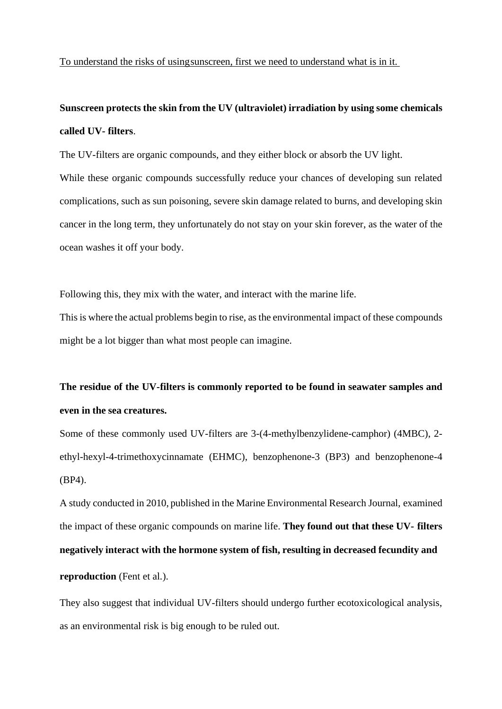To understand the risks of usingsunscreen, first we need to understand what is in it.

## **Sunscreen protects the skin from the UV (ultraviolet) irradiation by using some chemicals called UV- filters**.

The UV-filters are organic compounds, and they either block or absorb the UV light. While these organic compounds successfully reduce your chances of developing sun related complications, such as sun poisoning, severe skin damage related to burns, and developing skin cancer in the long term, they unfortunately do not stay on your skin forever, as the water of the ocean washes it off your body.

Following this, they mix with the water, and interact with the marine life.

This is where the actual problems begin to rise, as the environmental impact of these compounds might be a lot bigger than what most people can imagine.

# **The residue of the UV-filters is commonly reported to be found in seawater samples and even in the sea creatures.**

Some of these commonly used UV-filters are 3-(4-methylbenzylidene-camphor) (4MBC), 2 ethyl-hexyl-4-trimethoxycinnamate (EHMC), benzophenone-3 (BP3) and benzophenone-4 (BP4).

A study conducted in 2010, published in the Marine Environmental Research Journal, examined the impact of these organic compounds on marine life. **They found out that these UV- filters negatively interact with the hormone system of fish, resulting in decreased fecundity and reproduction** (Fent et al.).

They also suggest that individual UV-filters should undergo further ecotoxicological analysis, as an environmental risk is big enough to be ruled out.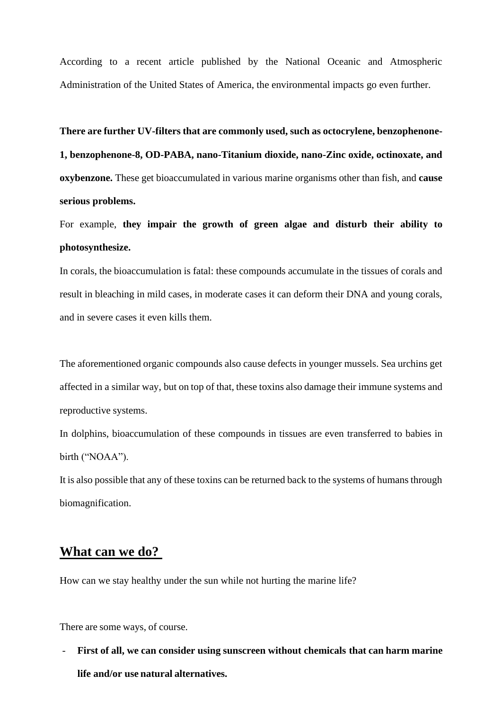According to a recent article published by the National Oceanic and Atmospheric Administration of the United States of America, the environmental impacts go even further.

**There are further UV-filters that are commonly used, such as octocrylene, benzophenone-1, benzophenone-8, OD-PABA, nano-Titanium dioxide, nano-Zinc oxide, octinoxate, and oxybenzone.** These get bioaccumulated in various marine organisms other than fish, and **cause serious problems.** 

For example, **they impair the growth of green algae and disturb their ability to photosynthesize.**

In corals, the bioaccumulation is fatal: these compounds accumulate in the tissues of corals and result in bleaching in mild cases, in moderate cases it can deform their DNA and young corals, and in severe cases it even kills them.

The aforementioned organic compounds also cause defects in younger mussels. Sea urchins get affected in a similar way, but on top of that, these toxins also damage their immune systems and reproductive systems.

In dolphins, bioaccumulation of these compounds in tissues are even transferred to babies in birth ("NOAA").

It is also possible that any of these toxins can be returned back to the systems of humans through biomagnification.

### **What can we do?**

How can we stay healthy under the sun while not hurting the marine life?

There are some ways, of course.

- **First of all, we can consider using sunscreen without chemicals that can harm marine life and/or use natural alternatives.**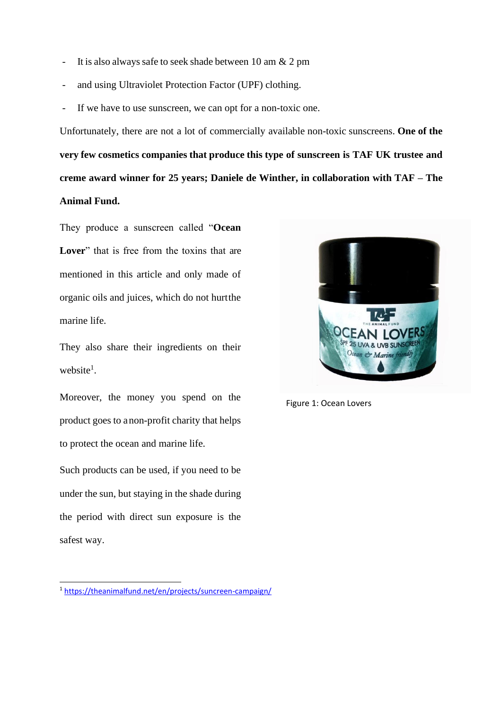- It is also always safe to seek shade between 10 am  $& 2$  pm
- and using Ultraviolet Protection Factor (UPF) clothing.
- If we have to use sunscreen, we can opt for a non-toxic one.

Unfortunately, there are not a lot of commercially available non-toxic sunscreens. **One of the very few cosmetics companies that produce this type of sunscreen is TAF UK trustee and creme award winner for 25 years; Daniele de Winther, in collaboration with TAF – The Animal Fund.** 

They produce a sunscreen called "**Ocean**  Lover" that is free from the toxins that are mentioned in this article and only made of organic oils and juices, which do not hurtthe marine life.

They also share their ingredients on their website<sup>1</sup>.

Moreover, the money you spend on the product goes to anon-profit charity that helps to protect the ocean and marine life.

Such products can be used, if you need to be under the sun, but staying in the shade during the period with direct sun exposure is the safest way.



Figure 1: Ocean Lovers

<sup>1</sup> <https://theanimalfund.net/en/projects/suncreen-campaign/>